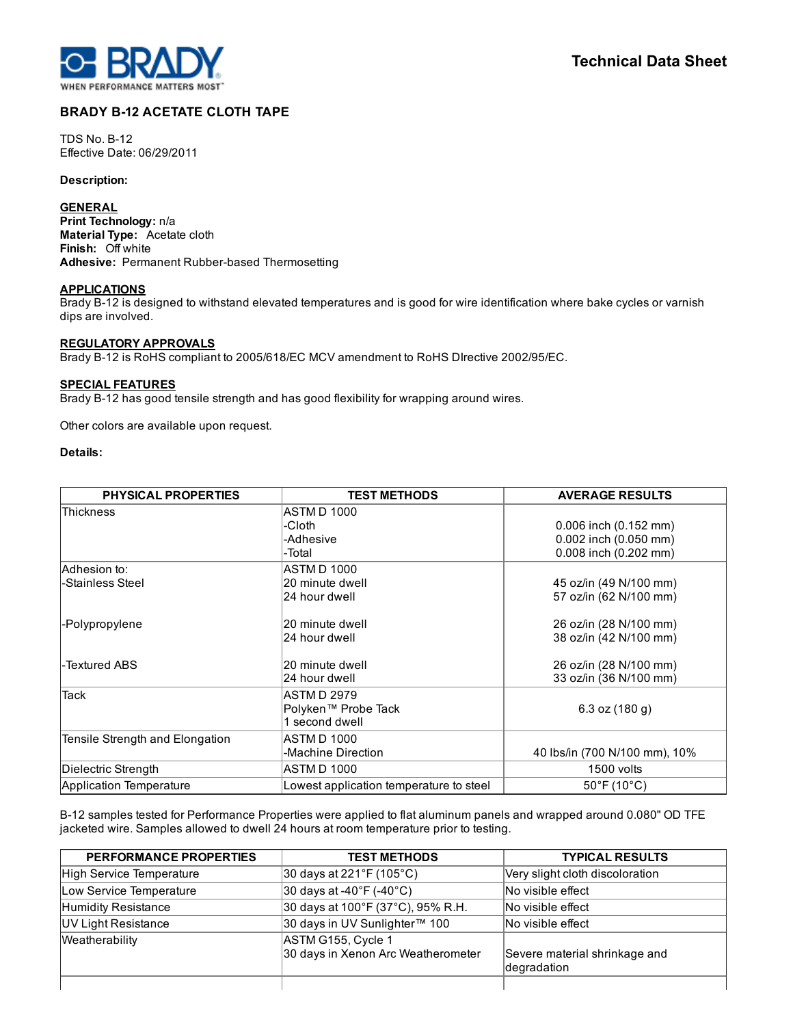

# BRADY B-12 ACETATE CLOTH TAPE

**TDS No. B-12** Effective Date: 06/29/2011

#### Description:

### **GENERAL**

Print Technology: n/a Material Type: Acetate cloth Finish: Off white Adhesive: Permanent Rubber-based Thermosetting

## **APPLICATIONS**

Brady B-12 is designed to withstand elevated temperatures and is good for wire identification where bake cycles or varnish dips are involved.

# REGULATORY APPROVALS

Brady B-12 is RoHS compliant to 2005/618/EC MCV amendment to RoHS DIrective 2002/95/EC.

#### SPECIAL FEATURES

Brady B-12 has good tensile strength and has good flexibility for wrapping around wires.

Other colors are available upon request.

# Details:

| <b>PHYSICAL PROPERTIES</b>      | <b>TEST METHODS</b>                     | <b>AVERAGE RESULTS</b>           |
|---------------------------------|-----------------------------------------|----------------------------------|
| <b>Thickness</b>                | ASTM D 1000                             |                                  |
|                                 | -Cloth                                  | 0.006 inch (0.152 mm)            |
|                                 | -Adhesive                               | 0.002 inch (0.050 mm)            |
|                                 | -Total                                  | 0.008 inch (0.202 mm)            |
| lAdhesion to∶                   | ASTM D 1000                             |                                  |
| -Stainless Steel                | 20 minute dwell                         | 45 oz/in (49 N/100 mm)           |
|                                 | 24 hour dwell                           | 57 oz/in (62 N/100 mm)           |
| -Polypropylene                  | 20 minute dwell                         | 26 oz/in (28 N/100 mm)           |
|                                 | 24 hour dwell                           | 38 oz/in (42 N/100 mm)           |
| -Textured ABS                   | 20 minute dwell                         | 26 oz/in (28 N/100 mm)           |
|                                 | 24 hour dwell                           | 33 oz/in (36 N/100 mm)           |
| <b>Tack</b>                     | <b>ASTMD 2979</b>                       |                                  |
|                                 | Polyken™ Probe Tack                     | 6.3 oz $(180 g)$                 |
|                                 | 1 second dwell                          |                                  |
| Tensile Strength and Elongation | ASTM D 1000                             |                                  |
|                                 | -Machine Direction                      | 40 lbs/in (700 N/100 mm), 10%    |
| Dielectric Strength             | ASTM D 1000                             | 1500 volts                       |
| Application Temperature         | Lowest application temperature to steel | $50^{\circ}$ F (10 $^{\circ}$ C) |

B12 samples tested for Performance Properties were applied to flat aluminum panels and wrapped around 0.080" OD TFE jacketed wire. Samples allowed to dwell 24 hours at room temperature prior to testing.

| <b>PERFORMANCE PROPERTIES</b> | <b>TEST METHODS</b>                                      | <b>TYPICAL RESULTS</b>                       |
|-------------------------------|----------------------------------------------------------|----------------------------------------------|
| High Service Temperature      | 30 days at 221°F (105°C)                                 | Very slight cloth discoloration              |
| Low Service Temperature       | $ 30 \text{ days}$ at -40°F (-40°C)                      | No visible effect                            |
| Humidity Resistance           | 30 days at 100°F (37°C), 95% R.H.                        | No visible effect                            |
| UV Light Resistance           | 30 days in UV Sunlighter™ 100                            | No visible effect                            |
| Weatherability                | ASTM G155, Cycle 1<br>30 days in Xenon Arc Weatherometer | Severe material shrinkage and<br>degradation |
|                               |                                                          |                                              |